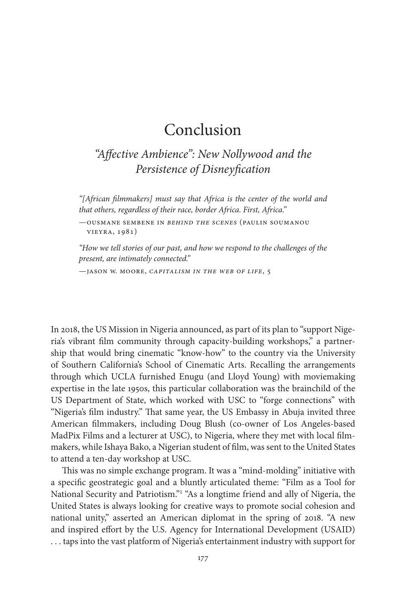## Conclusion

*"Affective Ambience": New Nollywood and the Persistence of Disneyfication*

*"[African filmmakers] must say that Africa is the center of the world and that others, regardless of their race, border Africa. First, Africa."*

—Ousmane Sembene in *Behind the Scenes* (Paulin Soumanou Vieyra, 1981)

*"How we tell stories of our past, and how we respond to the challenges of the present, are intimately connected."*

—Jason W. Moore, *Capitalism in the Web of Life*, 5

In 2018, the US Mission in Nigeria announced, as part of its plan to "support Nigeria's vibrant film community through capacity-building workshops," a partnership that would bring cinematic "know-how" to the country via the University of Southern California's School of Cinematic Arts. Recalling the arrangements through which UCLA furnished Enugu (and Lloyd Young) with moviemaking expertise in the late 1950s, this particular collaboration was the brainchild of the US Department of State, which worked with USC to "forge connections" with "Nigeria's film industry." That same year, the US Embassy in Abuja invited three American filmmakers, including Doug Blush (co-owner of Los Angeles-based MadPix Films and a lecturer at USC), to Nigeria, where they met with local filmmakers, while Ishaya Bako, a Nigerian student of film, was sent to the United States to attend a ten-day workshop at USC.

This was no simple exchange program. It was a "mind-molding" initiative with a specific geostrategic goal and a bluntly articulated theme: "Film as a Tool for National Security and Patriotism."<sup>1</sup> "As a longtime friend and ally of Nigeria, the United States is always looking for creative ways to promote social cohesion and national unity," asserted an American diplomat in the spring of 2018. "A new and inspired effort by the U.S. Agency for International Development (USAID) . . . taps into the vast platform of Nigeria's entertainment industry with support for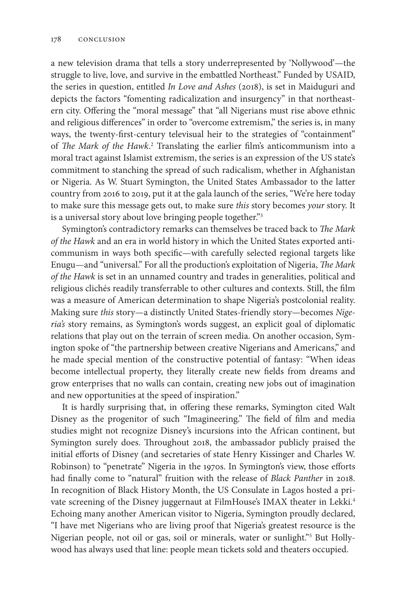a new television drama that tells a story underrepresented by 'Nollywood'—the struggle to live, love, and survive in the embattled Northeast." Funded by USAID, the series in question, entitled *In Love and Ashes* (2018), is set in Maiduguri and depicts the factors "fomenting radicalization and insurgency" in that northeastern city. Offering the "moral message" that "all Nigerians must rise above ethnic and religious differences" in order to "overcome extremism," the series is, in many ways, the twenty-first-century televisual heir to the strategies of "containment" of *The Mark of the Hawk*.<sup>2</sup> Translating the earlier film's anticommunism into a moral tract against Islamist extremism, the series is an expression of the US state's commitment to stanching the spread of such radicalism, whether in Afghanistan or Nigeria. As W. Stuart Symington, the United States Ambassador to the latter country from 2016 to 2019, put it at the gala launch of the series, "We're here today to make sure this message gets out, to make sure *this* story becomes *your* story. It is a universal story about love bringing people together."3

Symington's contradictory remarks can themselves be traced back to *The Mark of the Hawk* and an era in world history in which the United States exported anticommunism in ways both specific—with carefully selected regional targets like Enugu—and "universal." For all the production's exploitation of Nigeria, *The Mark of the Hawk* is set in an unnamed country and trades in generalities, political and religious clichés readily transferrable to other cultures and contexts. Still, the film was a measure of American determination to shape Nigeria's postcolonial reality. Making sure *this* story—a distinctly United States-friendly story—becomes *Nigeria's* story remains, as Symington's words suggest, an explicit goal of diplomatic relations that play out on the terrain of screen media. On another occasion, Symington spoke of "the partnership between creative Nigerians and Americans," and he made special mention of the constructive potential of fantasy: "When ideas become intellectual property, they literally create new fields from dreams and grow enterprises that no walls can contain, creating new jobs out of imagination and new opportunities at the speed of inspiration."

It is hardly surprising that, in offering these remarks, Symington cited Walt Disney as the progenitor of such "Imagineering." The field of film and media studies might not recognize Disney's incursions into the African continent, but Symington surely does. Throughout 2018, the ambassador publicly praised the initial efforts of Disney (and secretaries of state Henry Kissinger and Charles W. Robinson) to "penetrate" Nigeria in the 1970s. In Symington's view, those efforts had finally come to "natural" fruition with the release of *Black Panther* in 2018. In recognition of Black History Month, the US Consulate in Lagos hosted a private screening of the Disney juggernaut at FilmHouse's IMAX theater in Lekki.4 Echoing many another American visitor to Nigeria, Symington proudly declared, "I have met Nigerians who are living proof that Nigeria's greatest resource is the Nigerian people, not oil or gas, soil or minerals, water or sunlight."<sup>5</sup> But Hollywood has always used that line: people mean tickets sold and theaters occupied.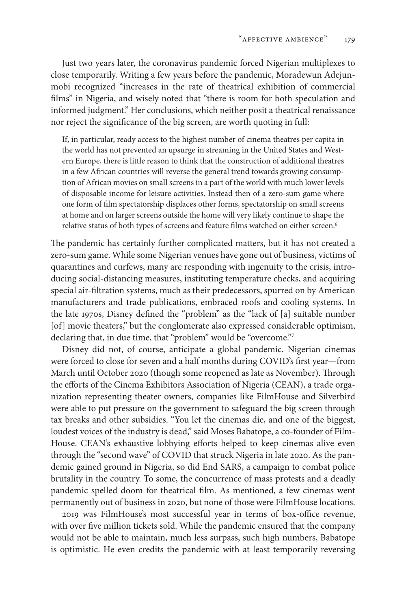Just two years later, the coronavirus pandemic forced Nigerian multiplexes to close temporarily. Writing a few years before the pandemic, Moradewun Adejunmobi recognized "increases in the rate of theatrical exhibition of commercial films" in Nigeria, and wisely noted that "there is room for both speculation and informed judgment." Her conclusions, which neither posit a theatrical renaissance nor reject the significance of the big screen, are worth quoting in full:

If, in particular, ready access to the highest number of cinema theatres per capita in the world has not prevented an upsurge in streaming in the United States and Western Europe, there is little reason to think that the construction of additional theatres in a few African countries will reverse the general trend towards growing consumption of African movies on small screens in a part of the world with much lower levels of disposable income for leisure activities. Instead then of a zero-sum game where one form of film spectatorship displaces other forms, spectatorship on small screens at home and on larger screens outside the home will very likely continue to shape the relative status of both types of screens and feature films watched on either screen.<sup>6</sup>

The pandemic has certainly further complicated matters, but it has not created a zero-sum game. While some Nigerian venues have gone out of business, victims of quarantines and curfews, many are responding with ingenuity to the crisis, introducing social-distancing measures, instituting temperature checks, and acquiring special air-filtration systems, much as their predecessors, spurred on by American manufacturers and trade publications, embraced roofs and cooling systems. In the late 1970s, Disney defined the "problem" as the "lack of [a] suitable number [of] movie theaters," but the conglomerate also expressed considerable optimism, declaring that, in due time, that "problem" would be "overcome."7

Disney did not, of course, anticipate a global pandemic. Nigerian cinemas were forced to close for seven and a half months during COVID's first year—from March until October 2020 (though some reopened as late as November). Through the efforts of the Cinema Exhibitors Association of Nigeria (CEAN), a trade organization representing theater owners, companies like FilmHouse and Silverbird were able to put pressure on the government to safeguard the big screen through tax breaks and other subsidies. "You let the cinemas die, and one of the biggest, loudest voices of the industry is dead," said Moses Babatope, a co-founder of Film-House. CEAN's exhaustive lobbying efforts helped to keep cinemas alive even through the "second wave" of COVID that struck Nigeria in late 2020. As the pandemic gained ground in Nigeria, so did End SARS, a campaign to combat police brutality in the country. To some, the concurrence of mass protests and a deadly pandemic spelled doom for theatrical film. As mentioned, a few cinemas went permanently out of business in 2020, but none of those were FilmHouse locations.

2019 was FilmHouse's most successful year in terms of box-office revenue, with over five million tickets sold. While the pandemic ensured that the company would not be able to maintain, much less surpass, such high numbers, Babatope is optimistic. He even credits the pandemic with at least temporarily reversing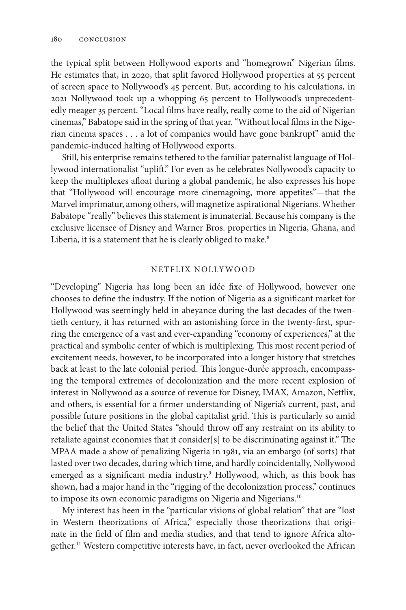the typical split between Hollywood exports and "homegrown" Nigerian films. He estimates that, in 2020, that split favored Hollywood properties at 55 percent of screen space to Nollywood's 45 percent. But, according to his calculations, in 2021 Nollywood took up a whopping 65 percent to Hollywood's unprecedentedly meager 35 percent. "Local films have really, really come to the aid of Nigerian cinemas," Babatope said in the spring of that year. "Without local films in the Nigerian cinema spaces . . . a lot of companies would have gone bankrupt" amid the pandemic-induced halting of Hollywood exports.

Still, his enterprise remains tethered to the familiar paternalist language of Hollywood internationalist "uplift." For even as he celebrates Nollywood's capacity to keep the multiplexes afloat during a global pandemic, he also expresses his hope that "Hollywood will encourage more cinemagoing, more appetites"—that the Marvel imprimatur, among others, will magnetize aspirational Nigerians. Whether Babatope "really" believes this statement is immaterial. Because his company is the exclusive licensee of Disney and Warner Bros. properties in Nigeria, Ghana, and Liberia, it is a statement that he is clearly obliged to make.<sup>8</sup>

## NETFLIX NOLLYWOOD

"Developing" Nigeria has long been an idée fixe of Hollywood, however one chooses to define the industry. If the notion of Nigeria as a significant market for Hollywood was seemingly held in abeyance during the last decades of the twentieth century, it has returned with an astonishing force in the twenty-first, spurring the emergence of a vast and ever-expanding "economy of experiences," at the practical and symbolic center of which is multiplexing. This most recent period of excitement needs, however, to be incorporated into a longer history that stretches back at least to the late colonial period. This longue-durée approach, encompassing the temporal extremes of decolonization and the more recent explosion of interest in Nollywood as a source of revenue for Disney, IMAX, Amazon, Netflix, and others, is essential for a firmer understanding of Nigeria's current, past, and possible future positions in the global capitalist grid. This is particularly so amid the belief that the United States "should throw off any restraint on its ability to retaliate against economies that it consider[s] to be discriminating against it." The MPAA made a show of penalizing Nigeria in 1981, via an embargo (of sorts) that lasted over two decades, during which time, and hardly coincidentally, Nollywood emerged as a significant media industry.<sup>9</sup> Hollywood, which, as this book has shown, had a major hand in the "rigging of the decolonization process," continues to impose its own economic paradigms on Nigeria and Nigerians.<sup>10</sup>

My interest has been in the "particular visions of global relation" that are "lost in Western theorizations of Africa," especially those theorizations that originate in the field of film and media studies, and that tend to ignore Africa altogether.11 Western competitive interests have, in fact, never overlooked the African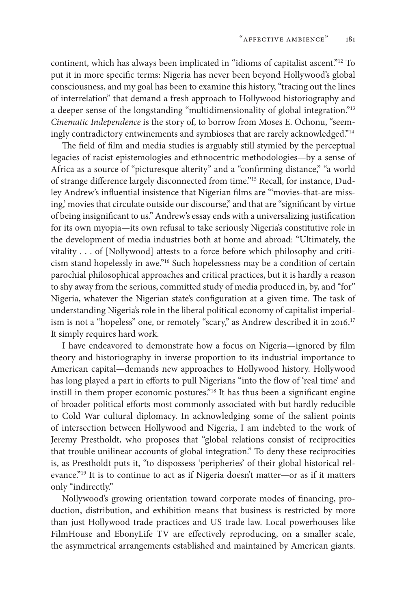continent, which has always been implicated in "idioms of capitalist ascent."12 To put it in more specific terms: Nigeria has never been beyond Hollywood's global consciousness, and my goal has been to examine this history, "tracing out the lines of interrelation" that demand a fresh approach to Hollywood historiography and a deeper sense of the longstanding "multidimensionality of global integration."<sup>13</sup> *Cinematic Independence* is the story of, to borrow from Moses E. Ochonu, "seemingly contradictory entwinements and symbioses that are rarely acknowledged."<sup>14</sup>

The field of film and media studies is arguably still stymied by the perceptual legacies of racist epistemologies and ethnocentric methodologies—by a sense of Africa as a source of "picturesque alterity" and a "confirming distance," "a world of strange difference largely disconnected from time."15 Recall, for instance, Dudley Andrew's influential insistence that Nigerian films are "'movies-that-are missing,' movies that circulate outside our discourse," and that are "significant by virtue of being insignificant to us." Andrew's essay ends with a universalizing justification for its own myopia—its own refusal to take seriously Nigeria's constitutive role in the development of media industries both at home and abroad: "Ultimately, the vitality . . . of [Nollywood] attests to a force before which philosophy and criticism stand hopelessly in awe."16 Such hopelessness may be a condition of certain parochial philosophical approaches and critical practices, but it is hardly a reason to shy away from the serious, committed study of media produced in, by, and "for" Nigeria, whatever the Nigerian state's configuration at a given time. The task of understanding Nigeria's role in the liberal political economy of capitalist imperialism is not a "hopeless" one, or remotely "scary," as Andrew described it in 2016.<sup>17</sup> It simply requires hard work.

I have endeavored to demonstrate how a focus on Nigeria—ignored by film theory and historiography in inverse proportion to its industrial importance to American capital—demands new approaches to Hollywood history. Hollywood has long played a part in efforts to pull Nigerians "into the flow of 'real time' and instill in them proper economic postures."18 It has thus been a significant engine of broader political efforts most commonly associated with but hardly reducible to Cold War cultural diplomacy. In acknowledging some of the salient points of intersection between Hollywood and Nigeria, I am indebted to the work of Jeremy Prestholdt, who proposes that "global relations consist of reciprocities that trouble unilinear accounts of global integration." To deny these reciprocities is, as Prestholdt puts it, "to dispossess 'peripheries' of their global historical relevance."<sup>19</sup> It is to continue to act as if Nigeria doesn't matter-or as if it matters only "indirectly."

Nollywood's growing orientation toward corporate modes of financing, production, distribution, and exhibition means that business is restricted by more than just Hollywood trade practices and US trade law. Local powerhouses like FilmHouse and EbonyLife TV are effectively reproducing, on a smaller scale, the asymmetrical arrangements established and maintained by American giants.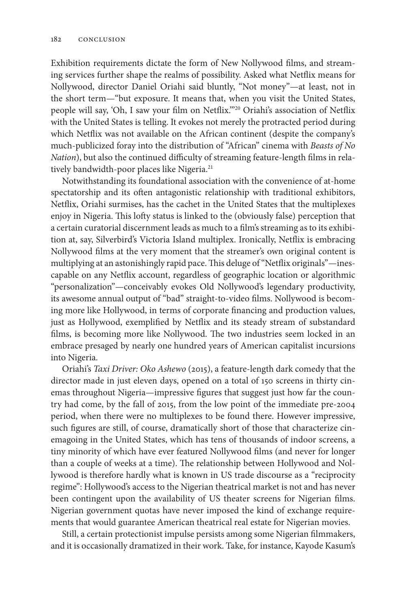Exhibition requirements dictate the form of New Nollywood films, and streaming services further shape the realms of possibility. Asked what Netflix means for Nollywood, director Daniel Oriahi said bluntly, "Not money"—at least, not in the short term—"but exposure. It means that, when you visit the United States, people will say, 'Oh, I saw your film on Netflix.'"20 Oriahi's association of Netflix with the United States is telling. It evokes not merely the protracted period during which Netflix was not available on the African continent (despite the company's much-publicized foray into the distribution of "African" cinema with *Beasts of No Nation*), but also the continued difficulty of streaming feature-length films in relatively bandwidth-poor places like Nigeria.<sup>21</sup>

Notwithstanding its foundational association with the convenience of at-home spectatorship and its often antagonistic relationship with traditional exhibitors, Netflix, Oriahi surmises, has the cachet in the United States that the multiplexes enjoy in Nigeria. This lofty status is linked to the (obviously false) perception that a certain curatorial discernment leads as much to a film's streaming as to its exhibition at, say, Silverbird's Victoria Island multiplex. Ironically, Netflix is embracing Nollywood films at the very moment that the streamer's own original content is multiplying at an astonishingly rapid pace. This deluge of "Netflix originals"—inescapable on any Netflix account, regardless of geographic location or algorithmic "personalization"—conceivably evokes Old Nollywood's legendary productivity, its awesome annual output of "bad" straight-to-video films. Nollywood is becoming more like Hollywood, in terms of corporate financing and production values, just as Hollywood, exemplified by Netflix and its steady stream of substandard films, is becoming more like Nollywood. The two industries seem locked in an embrace presaged by nearly one hundred years of American capitalist incursions into Nigeria.

Oriahi's *Taxi Driver: Oko Ashewo* (2015), a feature-length dark comedy that the director made in just eleven days, opened on a total of 150 screens in thirty cinemas throughout Nigeria—impressive figures that suggest just how far the country had come, by the fall of 2015, from the low point of the immediate pre-2004 period, when there were no multiplexes to be found there. However impressive, such figures are still, of course, dramatically short of those that characterize cinemagoing in the United States, which has tens of thousands of indoor screens, a tiny minority of which have ever featured Nollywood films (and never for longer than a couple of weeks at a time). The relationship between Hollywood and Nollywood is therefore hardly what is known in US trade discourse as a "reciprocity regime": Hollywood's access to the Nigerian theatrical market is not and has never been contingent upon the availability of US theater screens for Nigerian films. Nigerian government quotas have never imposed the kind of exchange requirements that would guarantee American theatrical real estate for Nigerian movies.

Still, a certain protectionist impulse persists among some Nigerian filmmakers, and it is occasionally dramatized in their work. Take, for instance, Kayode Kasum's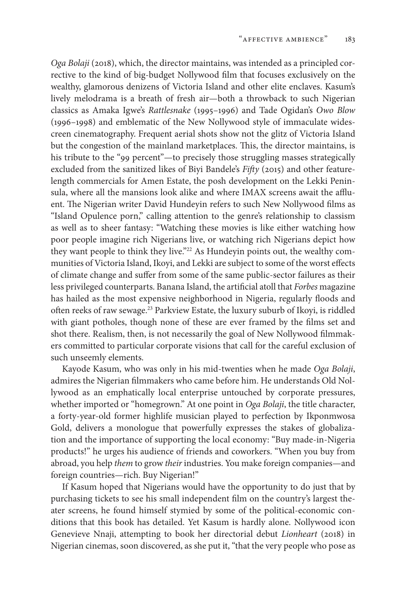*Oga Bolaji* (2018), which, the director maintains, was intended as a principled corrective to the kind of big-budget Nollywood film that focuses exclusively on the wealthy, glamorous denizens of Victoria Island and other elite enclaves. Kasum's lively melodrama is a breath of fresh air—both a throwback to such Nigerian classics as Amaka Igwe's *Rattlesnake* (1995–1996) and Tade Ogidan's *Owo Blow* (1996–1998) and emblematic of the New Nollywood style of immaculate widescreen cinematography. Frequent aerial shots show not the glitz of Victoria Island but the congestion of the mainland marketplaces. This, the director maintains, is his tribute to the "99 percent"—to precisely those struggling masses strategically excluded from the sanitized likes of Biyi Bandele's *Fifty* (2015) and other featurelength commercials for Amen Estate, the posh development on the Lekki Peninsula, where all the mansions look alike and where IMAX screens await the affluent. The Nigerian writer David Hundeyin refers to such New Nollywood films as "Island Opulence porn," calling attention to the genre's relationship to classism as well as to sheer fantasy: "Watching these movies is like either watching how poor people imagine rich Nigerians live, or watching rich Nigerians depict how they want people to think they live."22 As Hundeyin points out, the wealthy communities of Victoria Island, Ikoyi, and Lekki are subject to some of the worst effects of climate change and suffer from some of the same public-sector failures as their less privileged counterparts. Banana Island, the artificial atoll that *Forbes* magazine has hailed as the most expensive neighborhood in Nigeria, regularly floods and often reeks of raw sewage.23 Parkview Estate, the luxury suburb of Ikoyi, is riddled with giant potholes, though none of these are ever framed by the films set and shot there. Realism, then, is not necessarily the goal of New Nollywood filmmakers committed to particular corporate visions that call for the careful exclusion of such unseemly elements.

Kayode Kasum, who was only in his mid-twenties when he made *Oga Bolaji*, admires the Nigerian filmmakers who came before him. He understands Old Nollywood as an emphatically local enterprise untouched by corporate pressures, whether imported or "homegrown." At one point in *Oga Bolaji*, the title character, a forty-year-old former highlife musician played to perfection by Ikponmwosa Gold, delivers a monologue that powerfully expresses the stakes of globalization and the importance of supporting the local economy: "Buy made-in-Nigeria products!" he urges his audience of friends and coworkers. "When you buy from abroad, you help *them* to grow *their* industries. You make foreign companies—and foreign countries—rich. Buy Nigerian!"

If Kasum hoped that Nigerians would have the opportunity to do just that by purchasing tickets to see his small independent film on the country's largest theater screens, he found himself stymied by some of the political-economic conditions that this book has detailed. Yet Kasum is hardly alone. Nollywood icon Genevieve Nnaji, attempting to book her directorial debut *Lionheart* (2018) in Nigerian cinemas, soon discovered, as she put it, "that the very people who pose as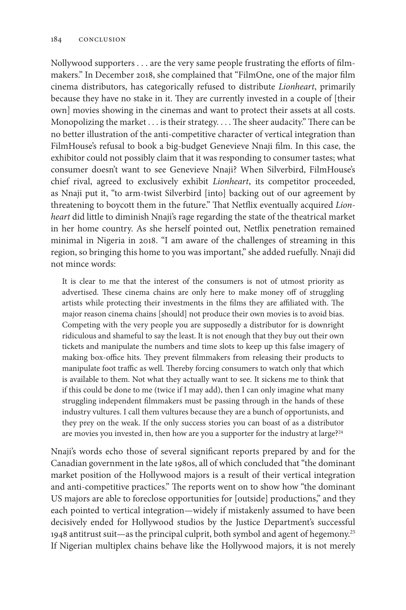Nollywood supporters . . . are the very same people frustrating the efforts of filmmakers." In December 2018, she complained that "FilmOne, one of the major film cinema distributors, has categorically refused to distribute *Lionheart*, primarily because they have no stake in it. They are currently invested in a couple of [their own] movies showing in the cinemas and want to protect their assets at all costs. Monopolizing the market . . . is their strategy. . . . The sheer audacity." There can be no better illustration of the anti-competitive character of vertical integration than FilmHouse's refusal to book a big-budget Genevieve Nnaji film. In this case, the exhibitor could not possibly claim that it was responding to consumer tastes; what consumer doesn't want to see Genevieve Nnaji? When Silverbird, FilmHouse's chief rival, agreed to exclusively exhibit *Lionheart*, its competitor proceeded, as Nnaji put it, "to arm-twist Silverbird [into] backing out of our agreement by threatening to boycott them in the future." That Netflix eventually acquired *Lionheart* did little to diminish Nnaji's rage regarding the state of the theatrical market in her home country. As she herself pointed out, Netflix penetration remained minimal in Nigeria in 2018. "I am aware of the challenges of streaming in this region, so bringing this home to you was important," she added ruefully. Nnaji did not mince words:

It is clear to me that the interest of the consumers is not of utmost priority as advertised. These cinema chains are only here to make money off of struggling artists while protecting their investments in the films they are affiliated with. The major reason cinema chains [should] not produce their own movies is to avoid bias. Competing with the very people you are supposedly a distributor for is downright ridiculous and shameful to say the least. It is not enough that they buy out their own tickets and manipulate the numbers and time slots to keep up this false imagery of making box-office hits. They prevent filmmakers from releasing their products to manipulate foot traffic as well. Thereby forcing consumers to watch only that which is available to them. Not what they actually want to see. It sickens me to think that if this could be done to me (twice if I may add), then I can only imagine what many struggling independent filmmakers must be passing through in the hands of these industry vultures. I call them vultures because they are a bunch of opportunists, and they prey on the weak. If the only success stories you can boast of as a distributor are movies you invested in, then how are you a supporter for the industry at large?<sup>24</sup>

Nnaji's words echo those of several significant reports prepared by and for the Canadian government in the late 1980s, all of which concluded that "the dominant market position of the Hollywood majors is a result of their vertical integration and anti-competitive practices." The reports went on to show how "the dominant US majors are able to foreclose opportunities for [outside] productions," and they each pointed to vertical integration—widely if mistakenly assumed to have been decisively ended for Hollywood studios by the Justice Department's successful 1948 antitrust suit—as the principal culprit, both symbol and agent of hegemony.25 If Nigerian multiplex chains behave like the Hollywood majors, it is not merely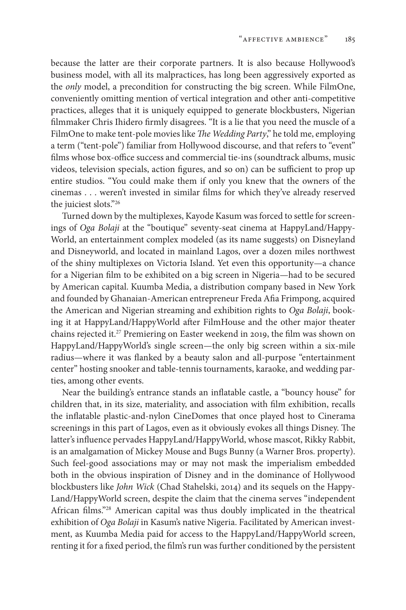because the latter are their corporate partners. It is also because Hollywood's business model, with all its malpractices, has long been aggressively exported as the *only* model, a precondition for constructing the big screen. While FilmOne, conveniently omitting mention of vertical integration and other anti-competitive practices, alleges that it is uniquely equipped to generate blockbusters, Nigerian filmmaker Chris Ihidero firmly disagrees. "It is a lie that you need the muscle of a FilmOne to make tent-pole movies like *The Wedding Party*," he told me, employing a term ("tent-pole") familiar from Hollywood discourse, and that refers to "event" films whose box-office success and commercial tie-ins (soundtrack albums, music videos, television specials, action figures, and so on) can be sufficient to prop up entire studios. "You could make them if only you knew that the owners of the cinemas . . . weren't invested in similar films for which they've already reserved the juiciest slots."26

Turned down by the multiplexes, Kayode Kasum was forced to settle for screenings of *Oga Bolaji* at the "boutique" seventy-seat cinema at HappyLand/Happy-World, an entertainment complex modeled (as its name suggests) on Disneyland and Disneyworld, and located in mainland Lagos, over a dozen miles northwest of the shiny multiplexes on Victoria Island. Yet even this opportunity—a chance for a Nigerian film to be exhibited on a big screen in Nigeria—had to be secured by American capital. Kuumba Media, a distribution company based in New York and founded by Ghanaian-American entrepreneur Freda Afia Frimpong, acquired the American and Nigerian streaming and exhibition rights to *Oga Bolaji*, booking it at HappyLand/HappyWorld after FilmHouse and the other major theater chains rejected it.27 Premiering on Easter weekend in 2019, the film was shown on HappyLand/HappyWorld's single screen—the only big screen within a six-mile radius—where it was flanked by a beauty salon and all-purpose "entertainment center" hosting snooker and table-tennis tournaments, karaoke, and wedding parties, among other events.

Near the building's entrance stands an inflatable castle, a "bouncy house" for children that, in its size, materiality, and association with film exhibition, recalls the inflatable plastic-and-nylon CineDomes that once played host to Cinerama screenings in this part of Lagos, even as it obviously evokes all things Disney. The latter's influence pervades HappyLand/HappyWorld, whose mascot, Rikky Rabbit, is an amalgamation of Mickey Mouse and Bugs Bunny (a Warner Bros. property). Such feel-good associations may or may not mask the imperialism embedded both in the obvious inspiration of Disney and in the dominance of Hollywood blockbusters like *John Wick* (Chad Stahelski, 2014) and its sequels on the Happy-Land/HappyWorld screen, despite the claim that the cinema serves "independent African films."28 American capital was thus doubly implicated in the theatrical exhibition of *Oga Bolaji* in Kasum's native Nigeria. Facilitated by American investment, as Kuumba Media paid for access to the HappyLand/HappyWorld screen, renting it for a fixed period, the film's run was further conditioned by the persistent